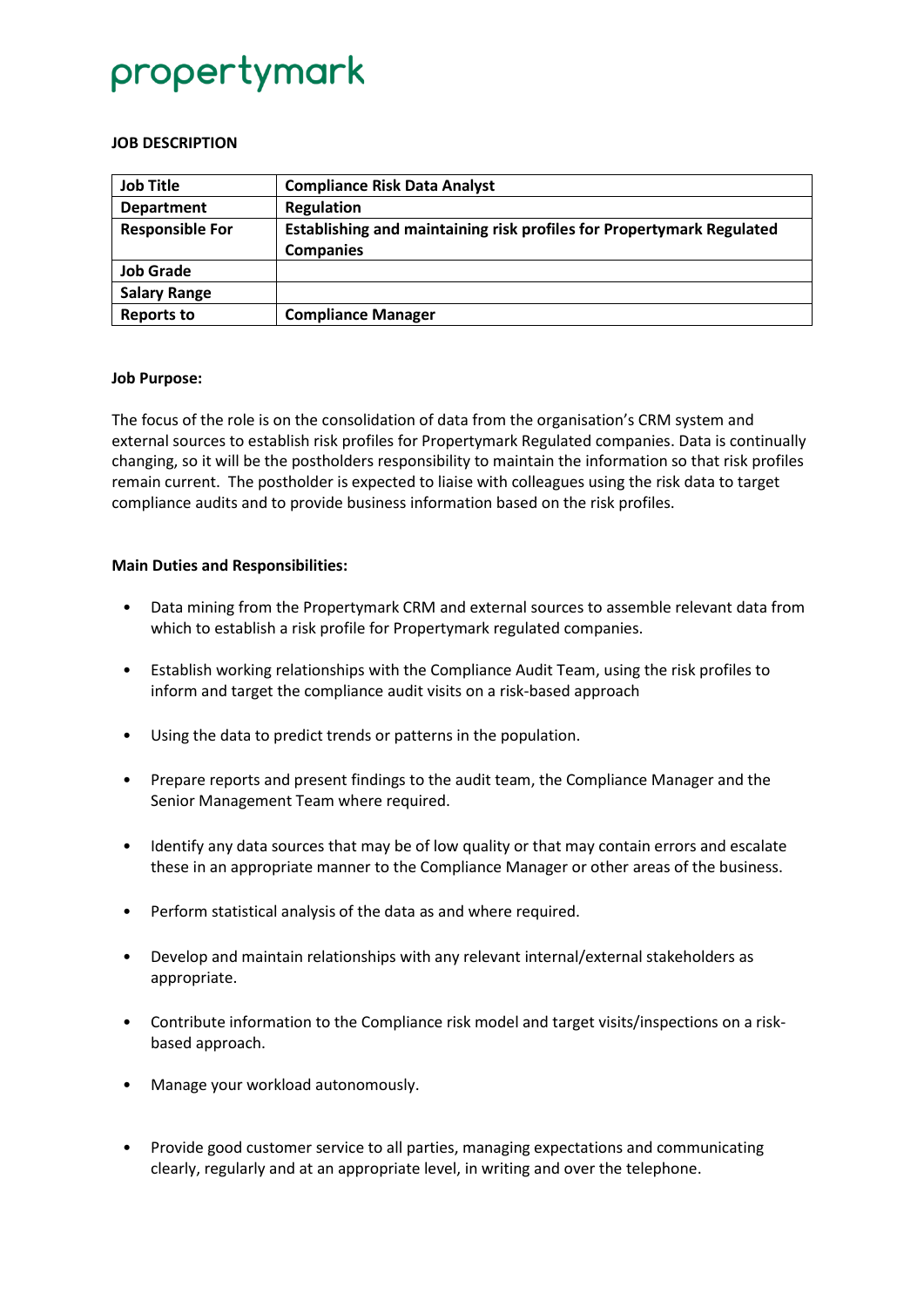## propertymark

### **JOB DESCRIPTION**

| <b>Job Title</b>       | <b>Compliance Risk Data Analyst</b>                                                       |
|------------------------|-------------------------------------------------------------------------------------------|
| <b>Department</b>      | <b>Regulation</b>                                                                         |
| <b>Responsible For</b> | Establishing and maintaining risk profiles for Propertymark Regulated<br><b>Companies</b> |
| <b>Job Grade</b>       |                                                                                           |
| <b>Salary Range</b>    |                                                                                           |
| <b>Reports to</b>      | <b>Compliance Manager</b>                                                                 |

### **Job Purpose:**

The focus of the role is on the consolidation of data from the organisation's CRM system and external sources to establish risk profiles for Propertymark Regulated companies. Data is continually changing, so it will be the postholders responsibility to maintain the information so that risk profiles remain current. The postholder is expected to liaise with colleagues using the risk data to target compliance audits and to provide business information based on the risk profiles.

### **Main Duties and Responsibilities:**

- Data mining from the Propertymark CRM and external sources to assemble relevant data from which to establish a risk profile for Propertymark regulated companies.
- Establish working relationships with the Compliance Audit Team, using the risk profiles to inform and target the compliance audit visits on a risk-based approach
- Using the data to predict trends or patterns in the population.
- Prepare reports and present findings to the audit team, the Compliance Manager and the Senior Management Team where required.
- Identify any data sources that may be of low quality or that may contain errors and escalate these in an appropriate manner to the Compliance Manager or other areas of the business.
- Perform statistical analysis of the data as and where required.
- Develop and maintain relationships with any relevant internal/external stakeholders as appropriate.
- Contribute information to the Compliance risk model and target visits/inspections on a riskbased approach.
- Manage your workload autonomously.
- Provide good customer service to all parties, managing expectations and communicating clearly, regularly and at an appropriate level, in writing and over the telephone.